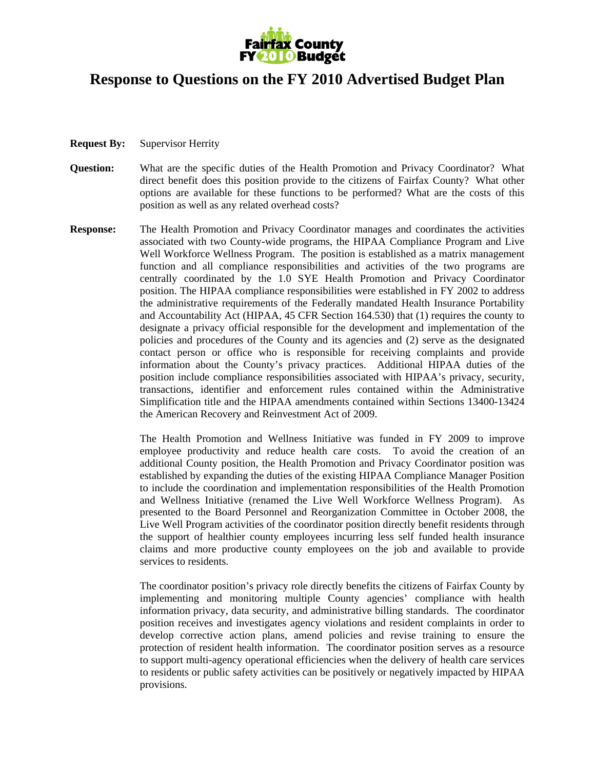

## **Response to Questions on the FY 2010 Advertised Budget Plan**

- **Request By:** Supervisor Herrity
- **Question:** What are the specific duties of the Health Promotion and Privacy Coordinator? What direct benefit does this position provide to the citizens of Fairfax County? What other options are available for these functions to be performed? What are the costs of this position as well as any related overhead costs?
- **Response:** The Health Promotion and Privacy Coordinator manages and coordinates the activities associated with two County-wide programs, the HIPAA Compliance Program and Live Well Workforce Wellness Program. The position is established as a matrix management function and all compliance responsibilities and activities of the two programs are centrally coordinated by the 1.0 SYE Health Promotion and Privacy Coordinator position. The HIPAA compliance responsibilities were established in FY 2002 to address the administrative requirements of the Federally mandated Health Insurance Portability and Accountability Act (HIPAA, 45 CFR Section 164.530) that (1) requires the county to designate a privacy official responsible for the development and implementation of the policies and procedures of the County and its agencies and (2) serve as the designated contact person or office who is responsible for receiving complaints and provide information about the County's privacy practices. Additional HIPAA duties of the position include compliance responsibilities associated with HIPAA's privacy, security, transactions, identifier and enforcement rules contained within the Administrative Simplification title and the HIPAA amendments contained within Sections 13400-13424 the American Recovery and Reinvestment Act of 2009.

The Health Promotion and Wellness Initiative was funded in FY 2009 to improve employee productivity and reduce health care costs. To avoid the creation of an additional County position, the Health Promotion and Privacy Coordinator position was established by expanding the duties of the existing HIPAA Compliance Manager Position to include the coordination and implementation responsibilities of the Health Promotion and Wellness Initiative (renamed the Live Well Workforce Wellness Program). As presented to the Board Personnel and Reorganization Committee in October 2008, the Live Well Program activities of the coordinator position directly benefit residents through the support of healthier county employees incurring less self funded health insurance claims and more productive county employees on the job and available to provide services to residents.

The coordinator position's privacy role directly benefits the citizens of Fairfax County by implementing and monitoring multiple County agencies' compliance with health information privacy, data security, and administrative billing standards. The coordinator position receives and investigates agency violations and resident complaints in order to develop corrective action plans, amend policies and revise training to ensure the protection of resident health information. The coordinator position serves as a resource to support multi-agency operational efficiencies when the delivery of health care services to residents or public safety activities can be positively or negatively impacted by HIPAA provisions.